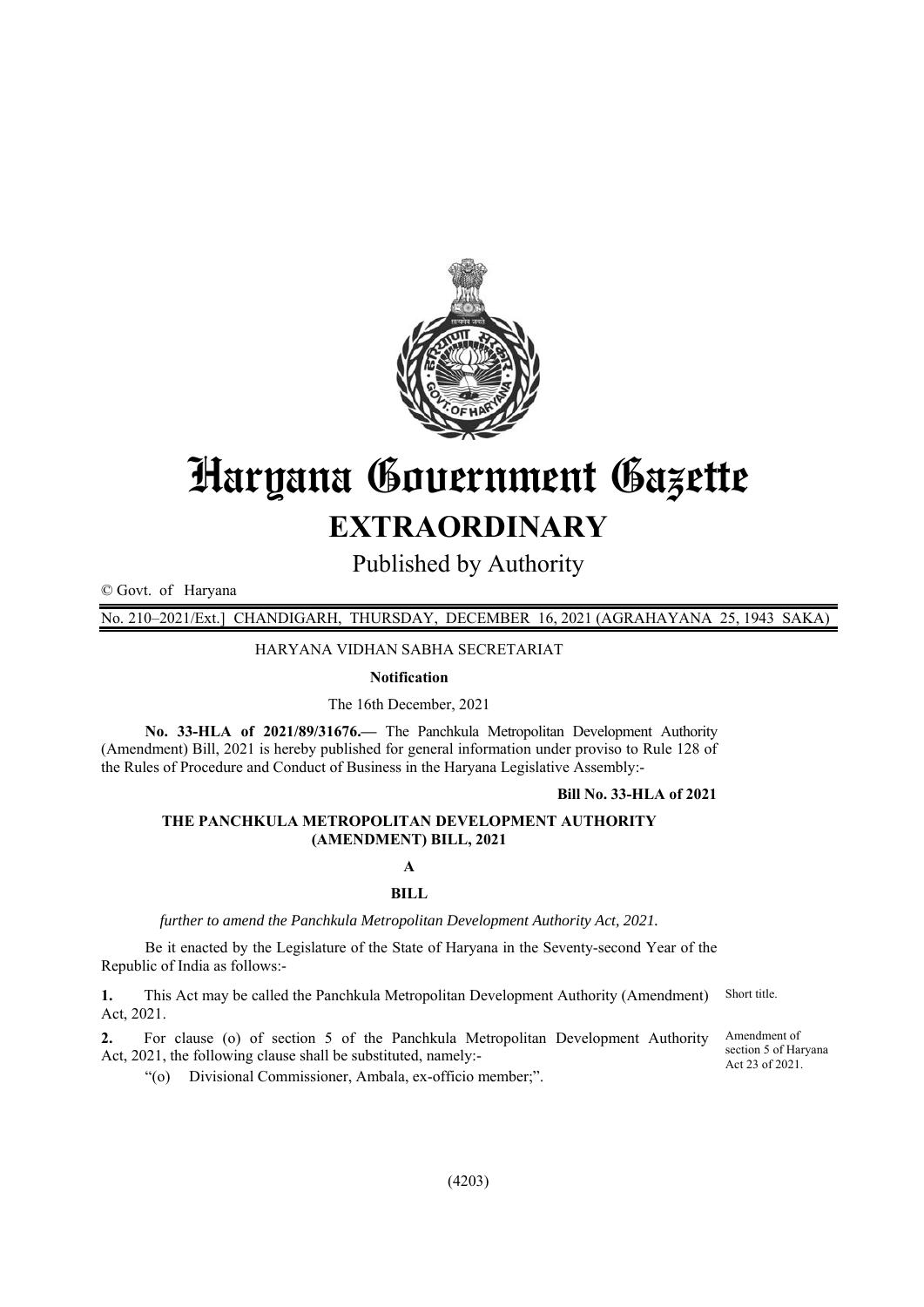

# Haryana Government Gazette **EXTRAORDINARY**

Published by Authority

© Govt. of Haryana

No. 210–2021/Ext.] CHANDIGARH, THURSDAY, DECEMBER 16, 2021 (AGRAHAYANA 25, 1943 SAKA)

HARYANA VIDHAN SABHA SECRETARIAT

#### **Notification**

The 16th December, 2021

**No. 33-HLA of 2021/89/31676.—** The Panchkula Metropolitan Development Authority (Amendment) Bill, 2021 is hereby published for general information under proviso to Rule 128 of the Rules of Procedure and Conduct of Business in the Haryana Legislative Assembly:-

#### **Bill No. 33-HLA of 2021**

## **THE PANCHKULA METROPOLITAN DEVELOPMENT AUTHORITY (AMENDMENT) BILL, 2021**

## **A BILL**

*further to amend the Panchkula Metropolitan Development Authority Act, 2021.* 

Be it enacted by the Legislature of the State of Haryana in the Seventy-second Year of the Republic of India as follows:-

**1.** This Act may be called the Panchkula Metropolitan Development Authority (Amendment) Act, 2021. Short title.

**2.** For clause (o) of section 5 of the Panchkula Metropolitan Development Authority Act, 2021, the following clause shall be substituted, namely:-

Amendment of section 5 of Haryana Act 23 of 2021.

"(o) Divisional Commissioner, Ambala, ex-officio member;".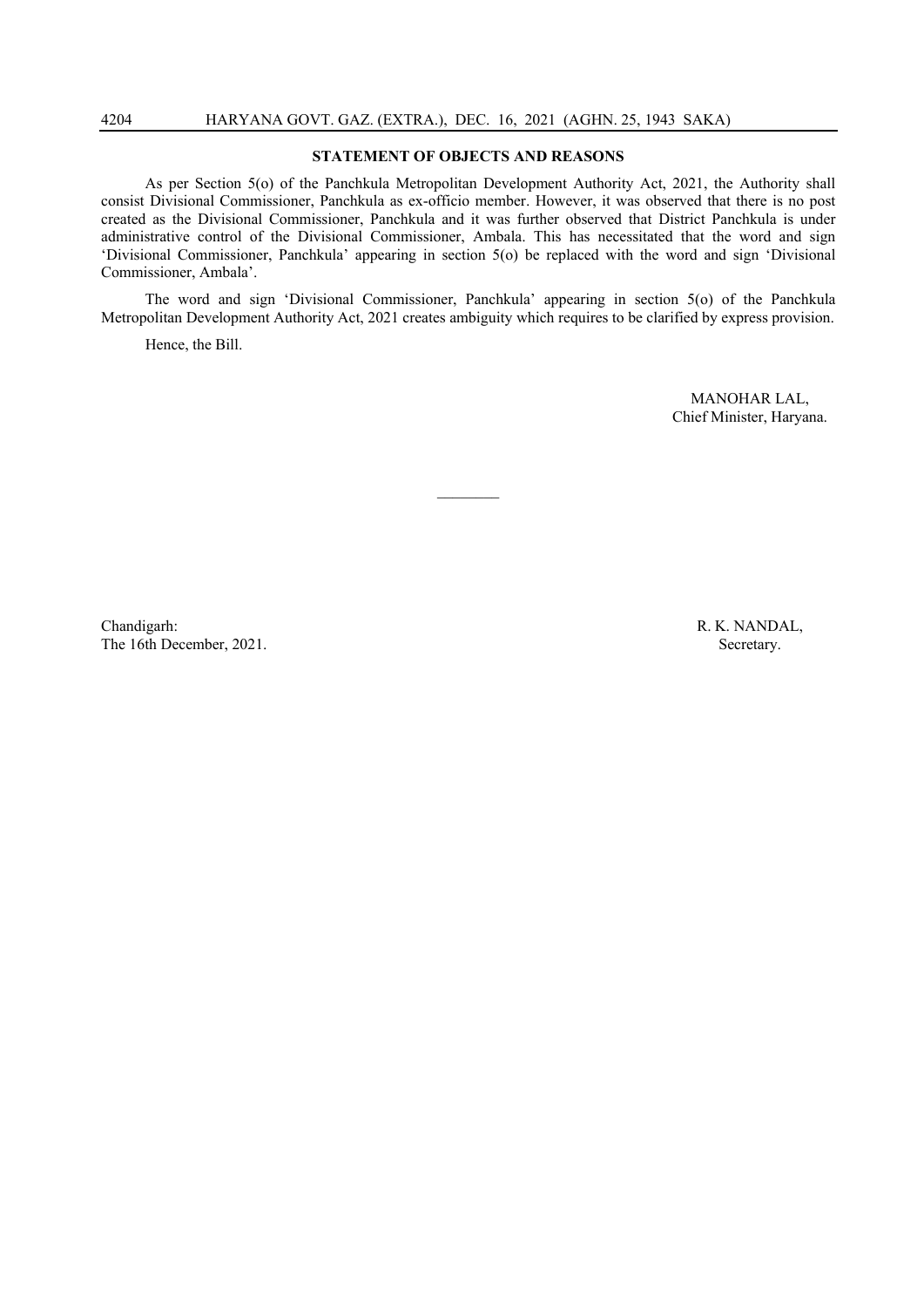#### **STATEMENT OF OBJECTS AND REASONS**

As per Section 5(o) of the Panchkula Metropolitan Development Authority Act, 2021, the Authority shall consist Divisional Commissioner, Panchkula as ex-officio member. However, it was observed that there is no post created as the Divisional Commissioner, Panchkula and it was further observed that District Panchkula is under administrative control of the Divisional Commissioner, Ambala. This has necessitated that the word and sign 'Divisional Commissioner, Panchkula' appearing in section 5(o) be replaced with the word and sign 'Divisional Commissioner, Ambala'.

The word and sign 'Divisional Commissioner, Panchkula' appearing in section 5(o) of the Panchkula Metropolitan Development Authority Act, 2021 creates ambiguity which requires to be clarified by express provision.

 $\frac{1}{2}$ 

Hence, the Bill.

MANOHAR LAL, Chief Minister, Haryana.

Chandigarh: R. K. NANDAL, The 16th December, 2021. Secretary.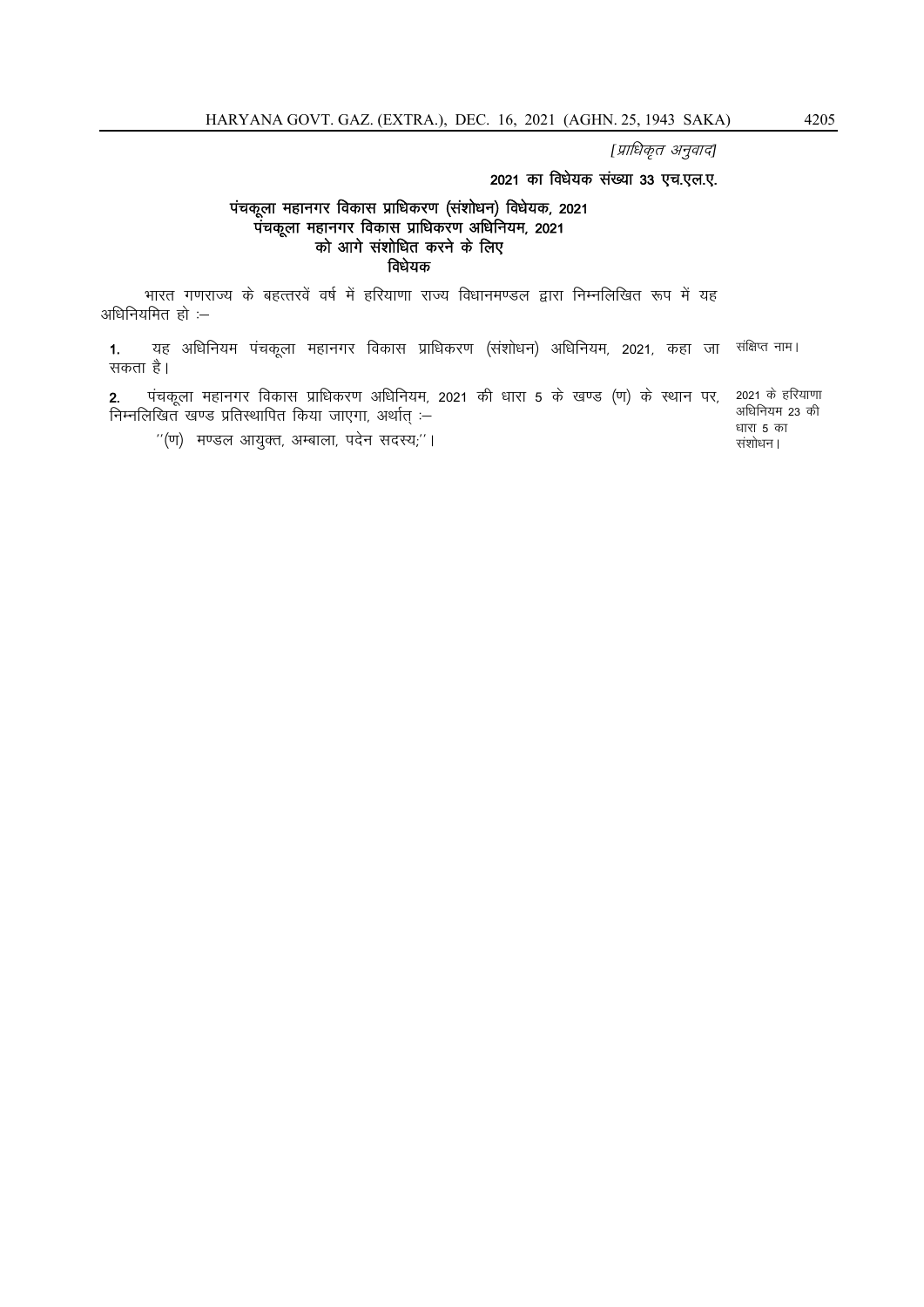[प्राधिकृत अनुवाद]

## 2021 का विधेयक संख्या 33 एच.एल.ए.

### पंचकूला महानगर विकास प्राधिकरण (संशोधन) विधेयक, 2021 पंचकूला महानगर विकास प्राधिकरण अधिनियम, 2021 को आगे संशोधित करने के लिए विधेयक

भारत गणराज्य के बहत्तरवें वर्ष में हरियाणा राज्य विधानमण्डल द्वारा निम्नलिखित रूप में यह अधिनियमित $\tilde{\epsilon}$ ों:-

1. यह अधिनियम पंचकूला महानगर विकास प्राधिकरण (संशोधन) अधिनियम, 2021, कहा जा संक्षिप्त नाम। सकता है।

2. पंचकूला महानगर विकास प्राधिकरण अधिनियम, 2021 की धारा 5 के खण्ड (ण) के स्थान पर, निम्नलिखित खण्ड प्रतिस्थापित किया जाएगा, अर्थात  $-$ 2021 के हरियाणा

"(ण) मण्डल आयुक्त, अम्बाला, पदेन सदस्य;"।

अधिनियम 23 की धारा  $5$  का संशोधन।